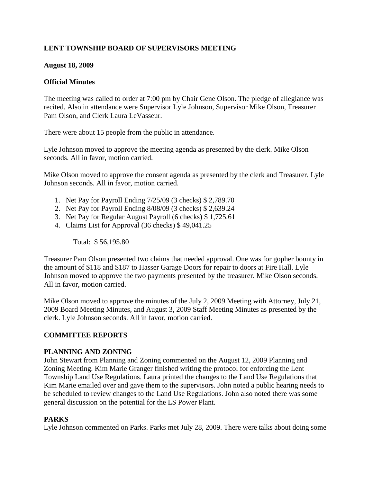# **LENT TOWNSHIP BOARD OF SUPERVISORS MEETING**

### **August 18, 2009**

### **Official Minutes**

The meeting was called to order at 7:00 pm by Chair Gene Olson. The pledge of allegiance was recited. Also in attendance were Supervisor Lyle Johnson, Supervisor Mike Olson, Treasurer Pam Olson, and Clerk Laura LeVasseur.

There were about 15 people from the public in attendance.

Lyle Johnson moved to approve the meeting agenda as presented by the clerk. Mike Olson seconds. All in favor, motion carried.

Mike Olson moved to approve the consent agenda as presented by the clerk and Treasurer. Lyle Johnson seconds. All in favor, motion carried.

- 1. Net Pay for Payroll Ending 7/25/09 (3 checks) \$ 2,789.70
- 2. Net Pay for Payroll Ending 8/08/09 (3 checks) \$ 2,639.24
- 3. Net Pay for Regular August Payroll (6 checks) \$ 1,725.61
- 4. Claims List for Approval (36 checks) \$ 49,041.25

Total: \$ 56,195.80

Treasurer Pam Olson presented two claims that needed approval. One was for gopher bounty in the amount of \$118 and \$187 to Hasser Garage Doors for repair to doors at Fire Hall. Lyle Johnson moved to approve the two payments presented by the treasurer. Mike Olson seconds. All in favor, motion carried.

Mike Olson moved to approve the minutes of the July 2, 2009 Meeting with Attorney, July 21, 2009 Board Meeting Minutes, and August 3, 2009 Staff Meeting Minutes as presented by the clerk. Lyle Johnson seconds. All in favor, motion carried.

## **COMMITTEE REPORTS**

#### **PLANNING AND ZONING**

John Stewart from Planning and Zoning commented on the August 12, 2009 Planning and Zoning Meeting. Kim Marie Granger finished writing the protocol for enforcing the Lent Township Land Use Regulations. Laura printed the changes to the Land Use Regulations that Kim Marie emailed over and gave them to the supervisors. John noted a public hearing needs to be scheduled to review changes to the Land Use Regulations. John also noted there was some general discussion on the potential for the LS Power Plant.

## **PARKS**

Lyle Johnson commented on Parks. Parks met July 28, 2009. There were talks about doing some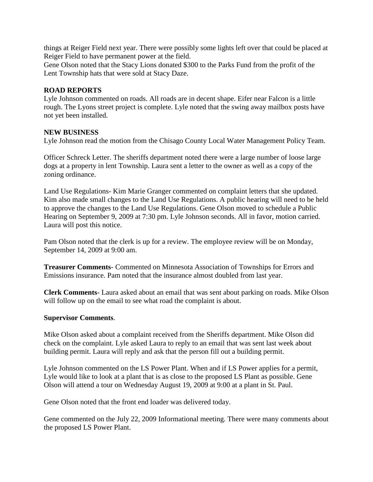things at Reiger Field next year. There were possibly some lights left over that could be placed at Reiger Field to have permanent power at the field.

Gene Olson noted that the Stacy Lions donated \$300 to the Parks Fund from the profit of the Lent Township hats that were sold at Stacy Daze.

### **ROAD REPORTS**

Lyle Johnson commented on roads. All roads are in decent shape. Eifer near Falcon is a little rough. The Lyons street project is complete. Lyle noted that the swing away mailbox posts have not yet been installed.

### **NEW BUSINESS**

Lyle Johnson read the motion from the Chisago County Local Water Management Policy Team.

Officer Schreck Letter. The sheriffs department noted there were a large number of loose large dogs at a property in lent Township. Laura sent a letter to the owner as well as a copy of the zoning ordinance.

Land Use Regulations- Kim Marie Granger commented on complaint letters that she updated. Kim also made small changes to the Land Use Regulations. A public hearing will need to be held to approve the changes to the Land Use Regulations. Gene Olson moved to schedule a Public Hearing on September 9, 2009 at 7:30 pm. Lyle Johnson seconds. All in favor, motion carried. Laura will post this notice.

Pam Olson noted that the clerk is up for a review. The employee review will be on Monday, September 14, 2009 at 9:00 am.

**Treasurer Comments**- Commented on Minnesota Association of Townships for Errors and Emissions insurance. Pam noted that the insurance almost doubled from last year.

**Clerk Comments**- Laura asked about an email that was sent about parking on roads. Mike Olson will follow up on the email to see what road the complaint is about.

#### **Supervisor Comments**.

Mike Olson asked about a complaint received from the Sheriffs department. Mike Olson did check on the complaint. Lyle asked Laura to reply to an email that was sent last week about building permit. Laura will reply and ask that the person fill out a building permit.

Lyle Johnson commented on the LS Power Plant. When and if LS Power applies for a permit, Lyle would like to look at a plant that is as close to the proposed LS Plant as possible. Gene Olson will attend a tour on Wednesday August 19, 2009 at 9:00 at a plant in St. Paul.

Gene Olson noted that the front end loader was delivered today.

Gene commented on the July 22, 2009 Informational meeting. There were many comments about the proposed LS Power Plant.